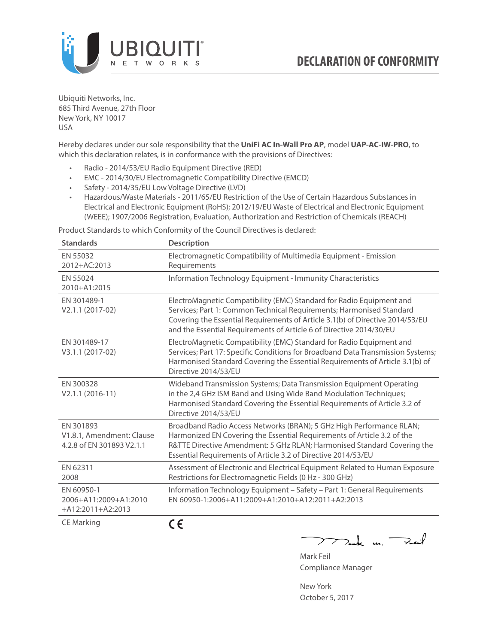

Ubiquiti Networks, Inc. 685 Third Avenue, 27th Floor New York, NY 10017 USA

Hereby declares under our sole responsibility that the **UniFi AC In-Wall Pro AP**, model **UAP-AC-IW-PRO**, to which this declaration relates, is in conformance with the provisions of Directives:

- Radio 2014/53/EU Radio Equipment Directive (RED)
- EMC 2014/30/EU Electromagnetic Compatibility Directive (EMCD)
- Safety 2014/35/EU Low Voltage Directive (LVD)
- Hazardous/Waste Materials 2011/65/EU Restriction of the Use of Certain Hazardous Substances in Electrical and Electronic Equipment (RoHS); 2012/19/EU Waste of Electrical and Electronic Equipment (WEEE); 1907/2006 Registration, Evaluation, Authorization and Restriction of Chemicals (REACH)

Product Standards to which Conformity of the Council Directives is declared:

| <b>Standards</b>                                                    | <b>Description</b>                                                                                                                                                                                                                                                                                   |
|---------------------------------------------------------------------|------------------------------------------------------------------------------------------------------------------------------------------------------------------------------------------------------------------------------------------------------------------------------------------------------|
| EN 55032<br>2012+AC:2013                                            | Electromagnetic Compatibility of Multimedia Equipment - Emission<br>Requirements                                                                                                                                                                                                                     |
| EN 55024<br>2010+A1:2015                                            | Information Technology Equipment - Immunity Characteristics                                                                                                                                                                                                                                          |
| EN 301489-1<br>V2.1.1 (2017-02)                                     | ElectroMagnetic Compatibility (EMC) Standard for Radio Equipment and<br>Services; Part 1: Common Technical Requirements; Harmonised Standard<br>Covering the Essential Requirements of Article 3.1(b) of Directive 2014/53/EU<br>and the Essential Requirements of Article 6 of Directive 2014/30/EU |
| EN 301489-17<br>V3.1.1 (2017-02)                                    | ElectroMagnetic Compatibility (EMC) Standard for Radio Equipment and<br>Services; Part 17: Specific Conditions for Broadband Data Transmission Systems;<br>Harmonised Standard Covering the Essential Requirements of Article 3.1(b) of<br>Directive 2014/53/EU                                      |
| EN 300328<br>$V2.1.1 (2016-11)$                                     | Wideband Transmission Systems; Data Transmission Equipment Operating<br>in the 2,4 GHz ISM Band and Using Wide Band Modulation Techniques;<br>Harmonised Standard Covering the Essential Requirements of Article 3.2 of<br>Directive 2014/53/EU                                                      |
| EN 301893<br>V1.8.1, Amendment: Clause<br>4.2.8 of EN 301893 V2.1.1 | Broadband Radio Access Networks (BRAN); 5 GHz High Performance RLAN;<br>Harmonized EN Covering the Essential Requirements of Article 3.2 of the<br>R&TTE Directive Amendment: 5 GHz RLAN; Harmonised Standard Covering the<br>Essential Requirements of Article 3.2 of Directive 2014/53/EU          |
| EN 62311<br>2008                                                    | Assessment of Electronic and Electrical Equipment Related to Human Exposure<br>Restrictions for Electromagnetic Fields (0 Hz - 300 GHz)                                                                                                                                                              |
| EN 60950-1<br>2006+A11:2009+A1:2010<br>+A12:2011+A2:2013            | Information Technology Equipment - Safety - Part 1: General Requirements<br>FN 60950-1:2006+A11:2009+A1:2010+A12:2011+A2:2013                                                                                                                                                                        |
| <b>CE Marking</b>                                                   | CE                                                                                                                                                                                                                                                                                                   |

 $\nabla$ ak un  $\rightarrow$ Mark Feil

Compliance Manager

New York October 5, 2017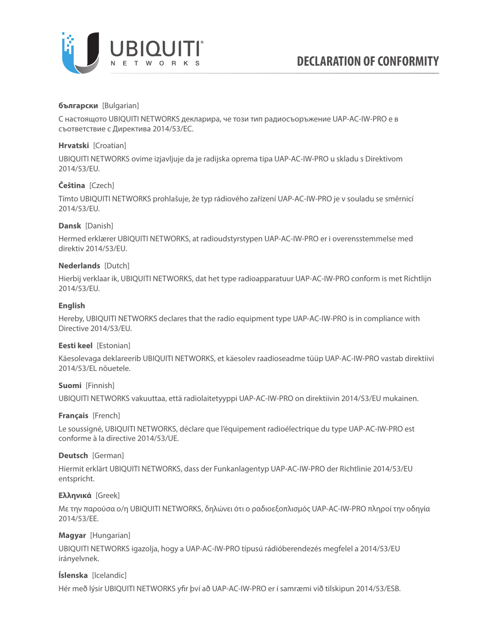

# **български** [Bulgarian]

С настоящото UBIQUITI NETWORKS декларира, че този тип радиосъоръжение UAP-AC-IW-PRO е в съответствие с Директива 2014/53/ЕС.

# **Hrvatski** [Croatian]

UBIQUITI NETWORKS ovime izjavljuje da je radijska oprema tipa UAP-AC-IW-PRO u skladu s Direktivom 2014/53/EU.

# **Čeština** [Czech]

Tímto UBIQUITI NETWORKS prohlašuje, že typ rádiového zařízení UAP-AC-IW-PRO je v souladu se směrnicí 2014/53/EU.

## **Dansk** [Danish]

Hermed erklærer UBIQUITI NETWORKS, at radioudstyrstypen UAP-AC-IW-PRO er i overensstemmelse med direktiv 2014/53/EU.

## **Nederlands** [Dutch]

Hierbij verklaar ik, UBIQUITI NETWORKS, dat het type radioapparatuur UAP-AC-IW-PRO conform is met Richtlijn 2014/53/EU.

# **English**

Hereby, UBIQUITI NETWORKS declares that the radio equipment type UAP-AC-IW-PRO is in compliance with Directive 2014/53/EU.

## **Eesti keel** [Estonian]

Käesolevaga deklareerib UBIQUITI NETWORKS, et käesolev raadioseadme tüüp UAP-AC-IW-PRO vastab direktiivi 2014/53/EL nõuetele.

## **Suomi** [Finnish]

UBIQUITI NETWORKS vakuuttaa, että radiolaitetyyppi UAP-AC-IW-PRO on direktiivin 2014/53/EU mukainen.

## **Français** [French]

Le soussigné, UBIQUITI NETWORKS, déclare que l'équipement radioélectrique du type UAP-AC-IW-PRO est conforme à la directive 2014/53/UE.

## **Deutsch** [German]

Hiermit erklärt UBIQUITI NETWORKS, dass der Funkanlagentyp UAP-AC-IW-PRO der Richtlinie 2014/53/EU entspricht.

## **Ελληνικά** [Greek]

Με την παρούσα ο/η UBIQUITI NETWORKS, δηλώνει ότι ο ραδιοεξοπλισμός UAP-AC-IW-PRO πληροί την οδηγία 2014/53/ΕΕ.

## **Magyar** [Hungarian]

UBIQUITI NETWORKS igazolja, hogy a UAP-AC-IW-PRO típusú rádióberendezés megfelel a 2014/53/EU irányelvnek.

## **Íslenska** [Icelandic]

Hér með lýsir UBIQUITI NETWORKS yfir því að UAP-AC-IW-PRO er í samræmi við tilskipun 2014/53/ESB.